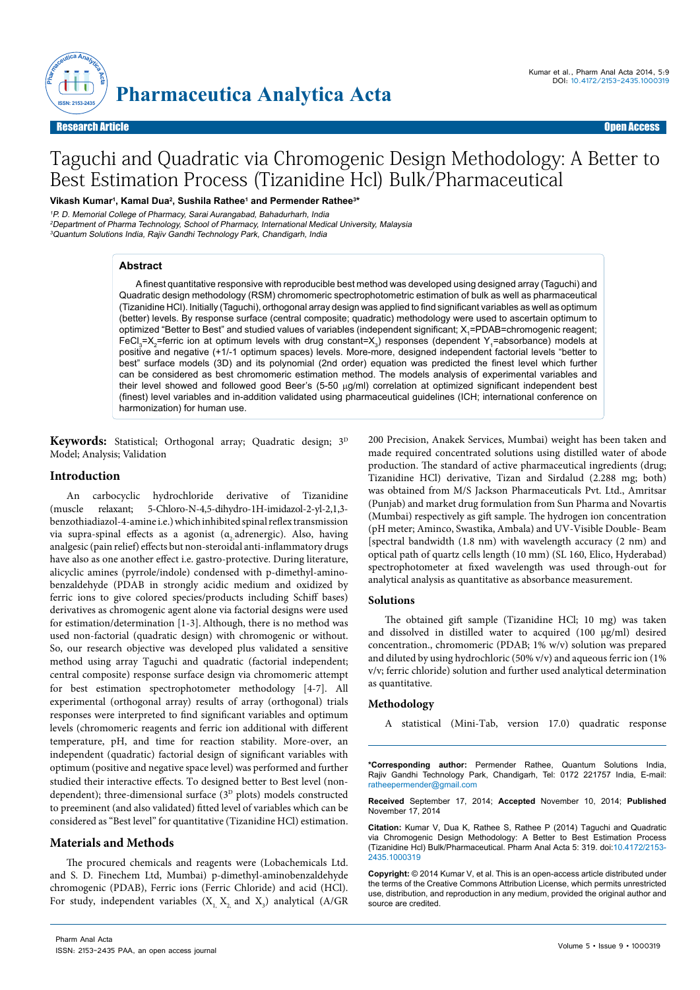

# Taguchi and Quadratic via Chromogenic Design Methodology: A Better to Best Estimation Process (Tizanidine Hcl) Bulk/Pharmaceutical

Vikash Kumar<sup>ı</sup>, Kamal Dua<sup>2</sup>, Sushila Rathee<sup>1</sup> and Permender Rathee<sup>3</sup>\*

<sup>1</sup>P. D. Memorial College of Pharmacy, Sarai Aurangabad, Bahadurharh, India <sup>2</sup>Department of Pharma Technology, School of Pharmacy, International Medical University, Malaysia <sup>3</sup>Quantum Solutions India, Rajiv Gandhi Technology Park, Chandigarh, India

#### **Abstract**

A finest quantitative responsive with reproducible best method was developed using designed array (Taguchi) and Quadratic design methodology (RSM) chromomeric spectrophotometric estimation of bulk as well as pharmaceutical (Tizanidine HCl). Initially (Taguchi), orthogonal array design was applied to find significant variables as well as optimum (better) levels. By response surface (central composite; quadratic) methodology were used to ascertain optimum to optimized "Better to Best" and studied values of variables (independent significant; X<sub>1</sub>=PDAB=chromogenic reagent; FeCl<sub>3</sub>=X<sub>2</sub>=ferric ion at optimum levels with drug constant=X<sub>3</sub>) responses (dependent Y<sub>1</sub>=absorbance) models at positive and negative (+1/-1 optimum spaces) levels. More-more, designed independent factorial levels "better to best" surface models (3D) and its polynomial (2nd order) equation was predicted the finest level which further can be considered as best chromomeric estimation method. The models analysis of experimental variables and their level showed and followed good Beer's (5-50  $\mu$ g/ml) correlation at optimized significant independent best (finest) level variables and in-addition validated using pharmaceutical guidelines (ICH; international conference on harmonization) for human use.

Keywords: Statistical; Orthogonal array; Quadratic design; 3<sup>D</sup> Model; Analysis; Validation

## **Introduction**

An carbocyclic hydrochloride derivative of Tizanidine (muscle relaxant; 5-Chloro-N-4,5-dihydro-1H-imidazol-2-yl-2,1,3 benzothiadiazol-4-amine i.e.) which inhibited spinal reflex transmission via supra-spinal effects as a agonist ( $\alpha$  adrenergic). Also, having analgesic (pain relief) effects but non-steroidal anti-inflammatory drugs have also as one another effect i.e. gastro-protective. During literature, alicyclic amines (pyrrole/indole) condensed with p-dimethyl-aminobenzaldehyde (PDAB in strongly acidic medium and oxidized by ferric ions to give colored species/products including Schiff bases) derivatives as chromogenic agent alone via factorial designs were used for estimation/determination [1-3].Although, there is no method was used non-factorial (quadratic design) with chromogenic or without. So, our research objective was developed plus validated a sensitive method using array Taguchi and quadratic (factorial independent; central composite) response surface design via chromomeric attempt for best estimation spectrophotometer methodology [4-7]. All experimental (orthogonal array) results of array (orthogonal) trials responses were interpreted to find significant variables and optimum levels (chromomeric reagents and ferric ion additional with different temperature, pH, and time for reaction stability. More-over, an independent (quadratic) factorial design of significant variables with optimum (positive and negative space level) was performed and further studied their interactive effects. To designed better to Best level (nondependent); three-dimensional surface  $(3<sup>D</sup>$  plots) models constructed to preeminent (and also validated) fitted level of variables which can be considered as "Best level" for quantitative (Tizanidine HCl) estimation.

## **Materials and Methods**

The procured chemicals and reagents were (Lobachemicals Ltd. and S. D. Finechem Ltd, Mumbai) p-dimethyl-aminobenzaldehyde chromogenic (PDAB), Ferric ions (Ferric Chloride) and acid (HCl). For study, independent variables  $(X_{1, X_{2, 1}})$  and  $(X_{3, 1})$  analytical (A/GR

200 Precision, Anakek Services, Mumbai) weight has been taken and made required concentrated solutions using distilled water of abode production. The standard of active pharmaceutical ingredients (drug; Tizanidine HCl) derivative, Tizan and Sirdalud (2.288 mg; both) was obtained from M/S Jackson Pharmaceuticals Pvt. Ltd., Amritsar (Punjab) and market drug formulation from Sun Pharma and Novartis (Mumbai) respectively as gift sample. The hydrogen ion concentration (pH meter; Aminco, Swastika, Ambala) and UV-Visible Double- Beam [spectral bandwidth (1.8 nm) with wavelength accuracy (2 nm) and optical path of quartz cells length (10 mm) (SL 160, Elico, Hyderabad) spectrophotometer at fixed wavelength was used through-out for analytical analysis as quantitative as absorbance measurement.

## **Solutions**

The obtained gift sample (Tizanidine HCl; 10 mg) was taken and dissolved in distilled water to acquired (100 µg/ml) desired concentration., chromomeric (PDAB; 1% w/v) solution was prepared and diluted by using hydrochloric (50% v/v) and aqueous ferric ion (1% v/v; ferric chloride) solution and further used analytical determination as quantitative.

#### **Methodology**

A statistical (Mini-Tab, version 17.0) quadratic response

**\*Corresponding author:** Permender Rathee, Quantum Solutions India, Rajiv Gandhi Technology Park, Chandigarh, Tel: 0172 221757 India, E-mail: ratheepermender@gmail.com

**Received** September 17, 2014; **Accepted** November 10, 2014; **Published** November 17, 2014

**Citation:** Kumar V, Dua K, Rathee S, Rathee P (2014) Taguchi and Quadratic via Chromogenic Design Methodology: A Better to Best Estimation Process (Tizanidine Hcl) Bulk/Pharmaceutical. Pharm Anal Acta 5: 319. doi:10.4172/2153- 2435.1000319

**Copyright:** © 2014 Kumar V, et al. This is an open-access article distributed under the terms of the Creative Commons Attribution License, which permits unrestricted use, distribution, and reproduction in any medium, provided the original author and source are credited.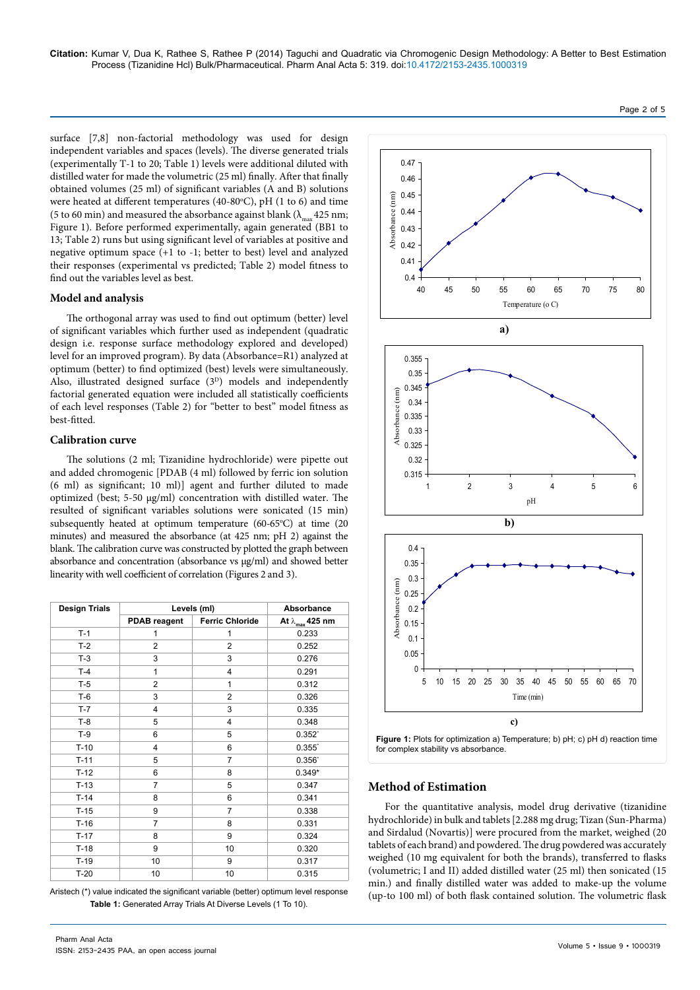**Citation:** Kumar V, Dua K, Rathee S, Rathee P (2014) Taguchi and Quadratic via Chromogenic Design Methodology: A Better to Best Estimation Process (Tizanidine Hcl) Bulk/Pharmaceutical. Pharm Anal Acta 5: 319. doi:10.4172/2153-2435.1000319

surface [7,8] non-factorial methodology was used for design independent variables and spaces (levels). The diverse generated trials (experimentally T-1 to 20; Table 1) levels were additional diluted with distilled water for made the volumetric (25 ml) finally. After that finally obtained volumes (25 ml) of significant variables (A and B) solutions were heated at different temperatures (40-80°C), pH (1 to 6) and time (5 to 60 min) and measured the absorbance against blank ( $\lambda_{\rm max}$  425 nm; Figure 1). Before performed experimentally, again generated (BB1 to 13; Table 2) runs but using significant level of variables at positive and negative optimum space (+1 to -1; better to best) level and analyzed their responses (experimental vs predicted; Table 2) model fitness to find out the variables level as best.

#### **Model and analysis**

The orthogonal array was used to find out optimum (better) level of significant variables which further used as independent (quadratic design i.e. response surface methodology explored and developed) level for an improved program). By data (Absorbance=R1) analyzed at optimum (better) to find optimized (best) levels were simultaneously. Also, illustrated designed surface (3<sup>D</sup>) models and independently factorial generated equation were included all statistically coefficients of each level responses (Table 2) for "better to best" model fitness as best-fitted.

## **Calibration curve**

The solutions (2 ml; Tizanidine hydrochloride) were pipette out and added chromogenic [PDAB (4 ml) followed by ferric ion solution (6 ml) as significant; 10 ml)] agent and further diluted to made optimized (best; 5-50 µg/ml) concentration with distilled water. The resulted of significant variables solutions were sonicated (15 min) subsequently heated at optimum temperature (60-65°C) at time (20 minutes) and measured the absorbance (at 425 nm; pH 2) against the blank. The calibration curve was constructed by plotted the graph between absorbance and concentration (absorbance vs µg/ml) and showed better linearity with well coefficient of correlation (Figures 2 and 3).

| <b>Design Trials</b> | Levels (ml)         | Absorbance             |                            |  |
|----------------------|---------------------|------------------------|----------------------------|--|
|                      | <b>PDAB</b> reagent | <b>Ferric Chloride</b> | At $\lambda_{\max}$ 425 nm |  |
| $T-1$                | 1                   | 1                      | 0.233                      |  |
| $T-2$                | $\overline{2}$      | $\overline{c}$         | 0.252                      |  |
| $T-3$                | 3                   | 3                      | 0.276                      |  |
| $T-4$                | $\mathbf{1}$        | 4                      | 0.291                      |  |
| $T-5$                | $\overline{2}$      | $\mathbf{1}$           | 0.312                      |  |
| $T-6$                | 3                   | $\overline{c}$         | 0.326                      |  |
| $T-7$                | 4                   | 3                      | 0.335                      |  |
| $T-8$                | 5                   | 4                      | 0.348                      |  |
| $T-9$                | 6                   | 5                      | $0.352^{*}$                |  |
| $T-10$               | 4                   | 6                      | $0.355$ <sup>*</sup>       |  |
| $T-11$               | 5                   | 7                      | $0.356^*$                  |  |
| $T-12$               | 6                   | 8                      | $0.349*$                   |  |
| $T-13$               | $\overline{7}$      | 5                      | 0.347                      |  |
| $T-14$               | 8                   | 6                      | 0.341                      |  |
| $T-15$               | 9                   | $\overline{7}$         | 0.338                      |  |
| $T-16$               | $\overline{7}$      | 8                      | 0.331                      |  |
| $T-17$               | 8                   | 9                      | 0.324                      |  |
| $T-18$               | 9                   | 10                     | 0.320                      |  |
| $T-19$               | 10                  | 9                      | 0.317                      |  |
| $T-20$               | 10                  | 10                     | 0.315                      |  |

Aristech (\*) value indicated the significant variable (better) optimum level response **Table 1:** Generated Array Trials At Diverse Levels (1 To 10).



For the quantitative analysis, model drug derivative (tizanidine hydrochloride) in bulk and tablets [2.288 mg drug; Tizan (Sun-Pharma) and Sirdalud (Novartis)] were procured from the market, weighed (20 tablets of each brand) and powdered. The drug powdered was accurately weighed (10 mg equivalent for both the brands), transferred to flasks (volumetric; I and II) added distilled water (25 ml) then sonicated (15 min.) and finally distilled water was added to make-up the volume (up-to 100 ml) of both flask contained solution. The volumetric flask

### Volume 5 • Issue 9 • 1000319

Page 2 of 5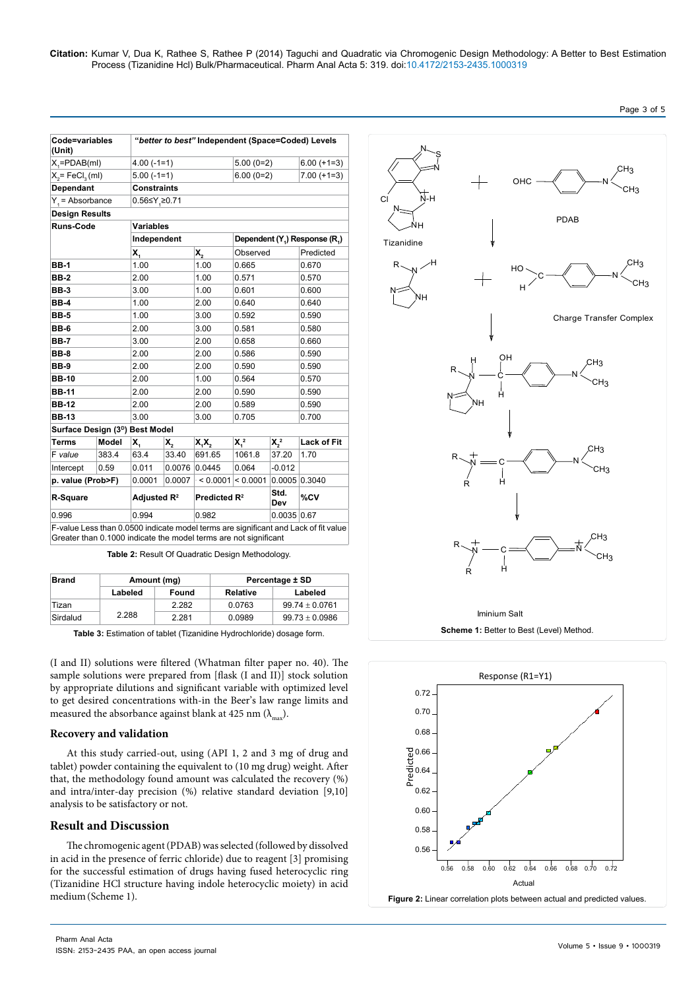| Code=variables<br>(Unit)                                         |       | "better to best" Independent (Space=Coded) Levels |                  |                             |                                                        |               |                                                                                     |  |
|------------------------------------------------------------------|-------|---------------------------------------------------|------------------|-----------------------------|--------------------------------------------------------|---------------|-------------------------------------------------------------------------------------|--|
| $X = PDAB(mI)$                                                   |       | $4.00(-1=1)$                                      |                  | $5.00(0=2)$                 |                                                        | $6.00 (+1=3)$ |                                                                                     |  |
| $X_2$ = FeCl <sub>3</sub> (ml)                                   |       | $5.00(-1=1)$                                      |                  | $6.00(0=2)$                 |                                                        | $7.00 (+1=3)$ |                                                                                     |  |
| Dependant                                                        |       | <b>Constraints</b>                                |                  |                             |                                                        |               |                                                                                     |  |
| $Y_i$ = Absorbance                                               |       | $0.56$ ≤Y <sub>3</sub> ≥0.71                      |                  |                             |                                                        |               |                                                                                     |  |
| <b>Design Results</b>                                            |       |                                                   |                  |                             |                                                        |               |                                                                                     |  |
| <b>Runs-Code</b>                                                 |       | <b>Variables</b>                                  |                  |                             |                                                        |               |                                                                                     |  |
|                                                                  |       | Independent                                       |                  |                             | Dependent (Y <sub>1</sub> ) Response (R <sub>1</sub> ) |               |                                                                                     |  |
|                                                                  |       | X,                                                |                  | Х,                          | Observed                                               |               | Predicted                                                                           |  |
| <b>BB-1</b>                                                      |       | 1.00                                              |                  | 1.00                        | 0.665                                                  |               | 0.670                                                                               |  |
| <b>BB-2</b>                                                      |       | 2.00                                              |                  | 1.00                        | 0.571                                                  |               | 0.570                                                                               |  |
| <b>BB-3</b>                                                      |       | 3.00                                              |                  | 1.00                        | 0.601                                                  |               | 0.600                                                                               |  |
| BB-4                                                             | 1.00  |                                                   |                  | 2.00                        | 0.640                                                  |               | 0.640                                                                               |  |
| <b>BB-5</b>                                                      | 1.00  |                                                   |                  | 3.00                        | 0.592                                                  |               | 0.590                                                                               |  |
| <b>BB-6</b>                                                      |       | 2.00                                              |                  | 3.00                        | 0.581                                                  |               | 0.580                                                                               |  |
| <b>BB-7</b>                                                      |       | 3.00                                              |                  | 2.00                        | 0.658                                                  |               | 0.660                                                                               |  |
| <b>BB-8</b>                                                      |       | 2.00                                              |                  | 2.00                        | 0.586                                                  |               | 0.590                                                                               |  |
| <b>BB-9</b>                                                      |       | 2.00                                              |                  | 2.00                        | 0.590                                                  |               | 0.590                                                                               |  |
| <b>BB-10</b>                                                     |       | 2.00                                              |                  | 1.00                        | 0.564                                                  |               | 0.570                                                                               |  |
| <b>BB-11</b>                                                     |       | 2.00                                              |                  | 2.00                        | 0.590                                                  |               | 0.590                                                                               |  |
| <b>BB-12</b>                                                     |       | 2.00                                              |                  | 2.00                        | 0.589                                                  |               | 0.590                                                                               |  |
| <b>BB-13</b>                                                     |       | 3.00                                              |                  | 3.00                        | 0.705                                                  |               | 0.700                                                                               |  |
| Surface Design (3 <sup>D</sup> ) Best Model                      |       |                                                   |                  |                             |                                                        |               |                                                                                     |  |
| <b>Terms</b>                                                     | Model | X.                                                | $\mathsf{X}_{2}$ | X,X,                        | $X_4^2$                                                | $X_2^2$       | <b>Lack of Fit</b>                                                                  |  |
| F value                                                          | 383.4 | 63.4                                              | 33.40            | 691.65                      | 1061.8                                                 | 37.20         | 1.70                                                                                |  |
| Intercept                                                        | 0.59  | 0.011                                             |                  | $0.0076$ 0.0445             | 0.064                                                  | $-0.012$      |                                                                                     |  |
| p. value (Prob>F)                                                |       | 0.0001                                            | 0.0007           | $\approx 0.0001 \le 0.0001$ |                                                        |               | 0.0005 0.3040                                                                       |  |
| R-Square                                                         |       | Adjusted R <sup>2</sup>                           |                  | Predicted R <sup>2</sup>    |                                                        | Std.<br>Dev   | %CV                                                                                 |  |
| 0.996                                                            |       | 0.994                                             |                  | 0.982                       |                                                        | 0.0035   0.67 |                                                                                     |  |
| Greater than 0.1000 indicate the model terms are not significant |       |                                                   |                  |                             |                                                        |               | F-value Less than 0.0500 indicate model terms are significant and Lack of fit value |  |

**Table 2:** Result Of Quadratic Design Methodology.

| Brand    | Amount (mg) |       | Percentage ± SD |                    |  |
|----------|-------------|-------|-----------------|--------------------|--|
|          | Labeled     | Found | Relative        | Labeled            |  |
| 'Tizan   | 2.288       | 2.282 | 0.0763          | $99.74 \pm 0.0761$ |  |
| Sirdalud |             | 2.281 | 0.0989          | $99.73 + 0.0986$   |  |

**Table 3:** Estimation of tablet (Tizanidine Hydrochloride) dosage form.

(I and II) solutions were filtered (Whatman filter paper no. 40). The sample solutions were prepared from [flask (I and II)] stock solution by appropriate dilutions and significant variable with optimized level to get desired concentrations with-in the Beer's law range limits and measured the absorbance against blank at 425 nm  $(\lambda_{\text{max}})$ .

## **Recovery and validation**

At this study carried-out, using (API 1, 2 and 3 mg of drug and tablet) powder containing the equivalent to (10 mg drug) weight. After that, the methodology found amount was calculated the recovery (%) and intra/inter-day precision (%) relative standard deviation [9,10] analysis to be satisfactory or not.

# **Result and Discussion**

The chromogenic agent (PDAB) was selected (followed by dissolved in acid in the presence of ferric chloride) due to reagent [3] promising for the successful estimation of drugs having fused heterocyclic ring (Tizanidine HCl structure having indole heterocyclic moiety) in acid medium(Scheme 1).



Page 3 of 5

0.56 0.58 0.60 0.62 0.64 0.66 0.68 0.70 0.72

0.66 0.64 0.62 0.60 0.58 0.56

Predicted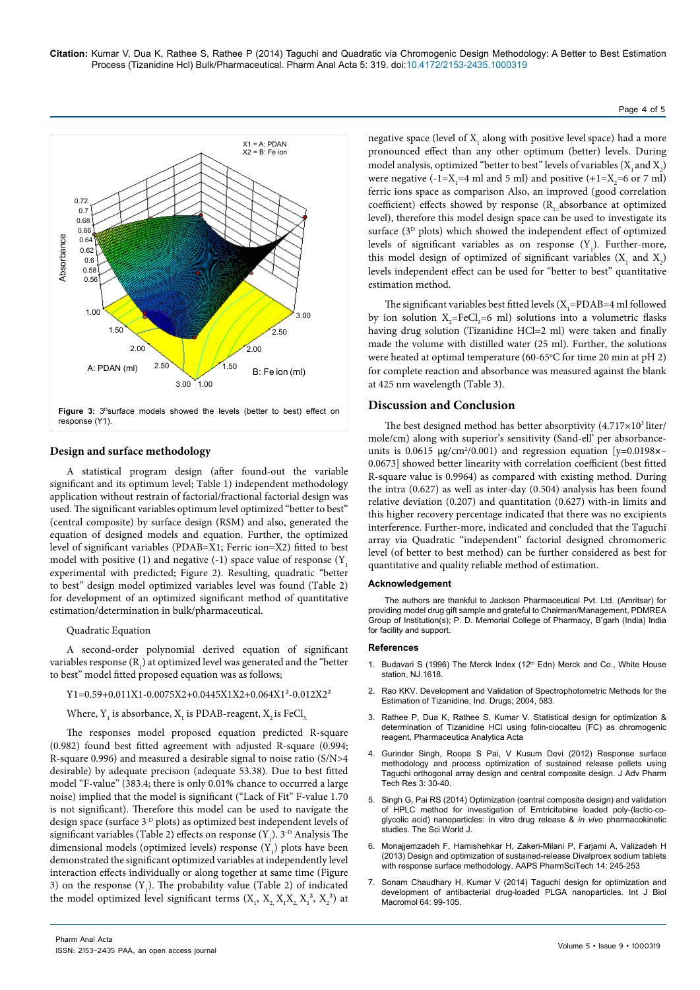

## **Design and surface methodology**

A statistical program design (after found-out the variable significant and its optimum level; Table 1) independent methodology application without restrain of factorial/fractional factorial design was used. The significant variables optimum level optimized "better to best" (central composite) by surface design (RSM) and also, generated the equation of designed models and equation. Further, the optimized level of significant variables (PDAB=X1; Ferric ion=X2) fitted to best model with positive  $(1)$  and negative  $(-1)$  space value of response  $(Y_1, Y_2)$ experimental with predicted; Figure 2). Resulting, quadratic "better to best" design model optimized variables level was found (Table 2) for development of an optimized significant method of quantitative estimation/determination in bulk/pharmaceutical.

## Quadratic Equation

A second-order polynomial derived equation of significant variables response ( $R_1$ ) at optimized level was generated and the "better to best" model fitted proposed equation was as follows;

## Y1=0.59+0.011X1-0.0075X2+0.0445X1X2+0.064X1²-0.012X2²

Where,  $Y_1$  is absorbance,  $X_1$  is PDAB-reagent,  $X_2$  is FeCl<sub>3.</sub>

The responses model proposed equation predicted R-square (0.982) found best fitted agreement with adjusted R-square (0.994; R-square 0.996) and measured a desirable signal to noise ratio (S/N>4 desirable) by adequate precision (adequate 53.38). Due to best fitted model "F-value" (383.4; there is only 0.01% chance to occurred a large noise) implied that the model is significant ("Lack of Fit" F-value 1.70 is not significant). Therefore this model can be used to navigate the design space (surface 3-D plots) as optimized best independent levels of significant variables (Table 2) effects on response  $(Y_1)$ . 3<sup>-D</sup> Analysis The dimensional models (optimized levels) response  $(Y_1)$  plots have been demonstrated the significant optimized variables at independently level interaction effects individually or along together at same time (Figure 3) on the response  $(Y_1)$ . The probability value (Table 2) of indicated the model optimized level significant terms  $(X_1, X_2, X_1X_2, X_1^2, X_2^2)$  at

negative space (level of  $X<sub>1</sub>$  along with positive level space) had a more pronounced effect than any other optimum (better) levels. During model analysis, optimized "better to best" levels of variables  $(X_1$  and  $X_2)$ were negative  $(-1=X_1=4 \text{ ml and } 5 \text{ ml})$  and positive  $(+1=X_2=6 \text{ or } 7 \text{ ml})$ ferric ions space as comparison Also, an improved (good correlation coefficient) effects showed by response  $(R_1_2)$ absorbance at optimized level), therefore this model design space can be used to investigate its surface  $(3<sup>D</sup>$  plots) which showed the independent effect of optimized levels of significant variables as on response  $(Y_1)$ . Further-more, this model design of optimized of significant variables  $(X_1$  and  $X_2)$ levels independent effect can be used for "better to best" quantitative estimation method.

The significant variables best fitted levels ( $X_1$ =PDAB=4 ml followed by ion solution  $X_2$ =FeCl<sub>3</sub>=6 ml) solutions into a volumetric flasks having drug solution (Tizanidine HCl=2 ml) were taken and finally made the volume with distilled water (25 ml). Further, the solutions were heated at optimal temperature (60-65°C for time 20 min at pH 2) for complete reaction and absorbance was measured against the blank at 425 nm wavelength (Table 3).

## **Discussion and Conclusion**

The best designed method has better absorptivity  $(4.717\times10^{3}$  liter/ mole/cm) along with superior's sensitivity (Sand-ell' per absorbanceunits is 0.0615 µg/cm<sup>2</sup>/0.001) and regression equation [y=0.0198×-0.0673] showed better linearity with correlation coefficient (best fitted R-square value is 0.9964) as compared with existing method. During the intra (0.627) as well as inter-day (0.504) analysis has been found relative deviation (0.207) and quantitation (0.627) with-in limits and this higher recovery percentage indicated that there was no excipients interference. Further-more, indicated and concluded that the Taguchi array via Quadratic "independent" factorial designed chromomeric level (of better to best method) can be further considered as best for quantitative and quality reliable method of estimation.

#### **Acknowledgement**

The authors are thankful to Jackson Pharmaceutical Pvt. Ltd. (Amritsar) for providing model drug gift sample and grateful to Chairman/Management, PDMREA Group of Institution(s); P. D. Memorial College of Pharmacy, B'garh (India) India for facility and support.

### **References**

- 1. Budavari S (1996) The Merck Index (12<sup>th</sup> Edn) Merck and Co., White House station, NJ 1618.
- 2. Rao KKV. Development and Validation of Spectrophotometric Methods for the Estimation of Tizanidine, Ind. Drugs; 2004, 583.
- 3. Rathee P, Dua K, Rathee S, Kumar V. Statistical design for optimization & determination of Tizanidine HCl using folin-ciocalteu (FC) as chromogenic reagent, Pharmaceutica Analytica Acta
- 4. [Gurinder Singh, Roopa S Pai, V Kusum Devi \(2012\) Response surface](http://www.ncbi.nlm.nih.gov/pubmed/22470891)  [methodology and process optimization of sustained release pellets using](http://www.ncbi.nlm.nih.gov/pubmed/22470891)  [Taguchi orthogonal array design and central composite design. J Adv Pharm](http://www.ncbi.nlm.nih.gov/pubmed/22470891)  [Tech Res 3: 30-40.](http://www.ncbi.nlm.nih.gov/pubmed/22470891)
- 5. [Singh G, Pai RS \(2014\) Optimization \(central composite design\) and validation](http://www.ncbi.nlm.nih.gov/pubmed/24672337)  [of HPLC method for investigation of Emtricitabine loaded poly-\(lactic-co](http://www.ncbi.nlm.nih.gov/pubmed/24672337)[glycolic acid\) nanoparticles: In vitro drug release &](http://www.ncbi.nlm.nih.gov/pubmed/24672337) *in vivo* pharmacokinetic [studies. The Sci World J.](http://www.ncbi.nlm.nih.gov/pubmed/24672337)
- 6. [Monajjemzadeh F, Hamishehkar H, Zakeri-Milani P, Farjami A, Valizadeh H](http://www.ncbi.nlm.nih.gov/pubmed/?term=Design+and+optimization+of+sustained-release+Divalproex+sodium+tablets+with+response+surface+methodology.)  [\(2013\) Design and optimization of sustained-release Divalproex sodium tablets](http://www.ncbi.nlm.nih.gov/pubmed/?term=Design+and+optimization+of+sustained-release+Divalproex+sodium+tablets+with+response+surface+methodology.)  [with response surface methodology. AAPS PharmSciTech 14: 245-253](http://www.ncbi.nlm.nih.gov/pubmed/?term=Design+and+optimization+of+sustained-release+Divalproex+sodium+tablets+with+response+surface+methodology.)
- 7. [Sonam Chaudhary H, Kumar V \(2014\) Taguchi design for optimization and](http://www.ncbi.nlm.nih.gov/pubmed/24315945)  [development of antibacterial drug-loaded PLGA nanoparticles. Int J Biol](http://www.ncbi.nlm.nih.gov/pubmed/24315945)  [Macromol 64: 99-105.](http://www.ncbi.nlm.nih.gov/pubmed/24315945)